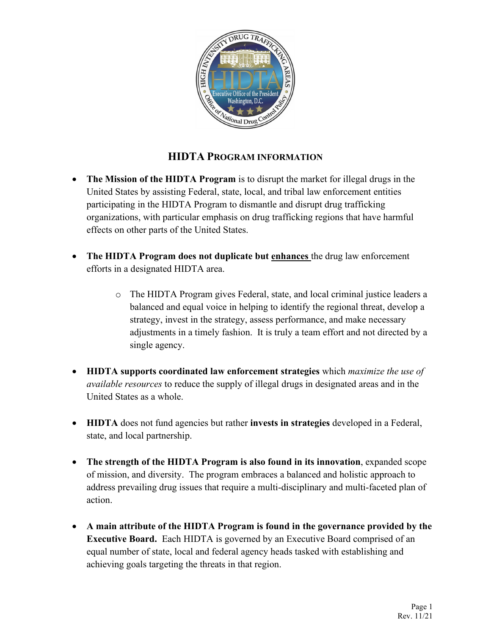

## **HIDTA PROGRAM INFORMATION**

- **The Mission of the HIDTA Program** is to disrupt the market for illegal drugs in the United States by assisting Federal, state, local, and tribal law enforcement entities participating in the HIDTA Program to dismantle and disrupt drug trafficking organizations, with particular emphasis on drug trafficking regions that have harmful effects on other parts of the United States.
- **The HIDTA Program does not duplicate but enhances** the drug law enforcement efforts in a designated HIDTA area.
	- o The HIDTA Program gives Federal, state, and local criminal justice leaders a balanced and equal voice in helping to identify the regional threat, develop a strategy, invest in the strategy, assess performance, and make necessary adjustments in a timely fashion. It is truly a team effort and not directed by a single agency.
- **HIDTA supports coordinated law enforcement strategies** which *maximize the use of available resources* to reduce the supply of illegal drugs in designated areas and in the United States as a whole.
- **HIDTA** does not fund agencies but rather **invests in strategies** developed in a Federal, state, and local partnership.
- **The strength of the HIDTA Program is also found in its innovation**, expanded scope of mission, and diversity. The program embraces a balanced and holistic approach to address prevailing drug issues that require a multi-disciplinary and multi-faceted plan of action.
- **A main attribute of the HIDTA Program is found in the governance provided by the Executive Board.** Each HIDTA is governed by an Executive Board comprised of an equal number of state, local and federal agency heads tasked with establishing and achieving goals targeting the threats in that region.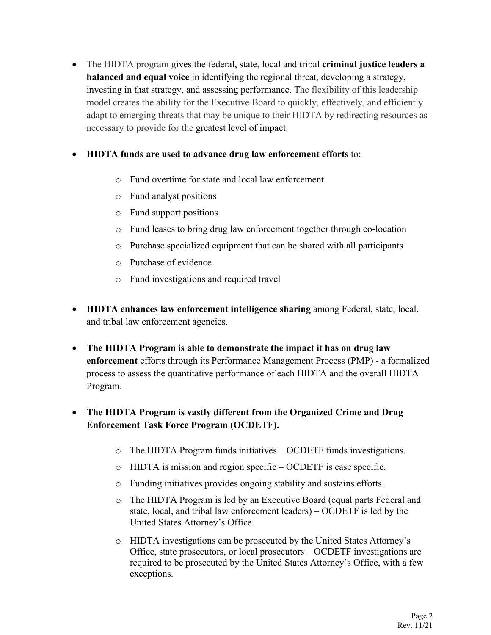• The HIDTA program gives the federal, state, local and tribal **criminal justice leaders a balanced and equal voice** in identifying the regional threat, developing a strategy, investing in that strategy, and assessing performance. The flexibility of this leadership model creates the ability for the Executive Board to quickly, effectively, and efficiently adapt to emerging threats that may be unique to their HIDTA by redirecting resources as necessary to provide for the greatest level of impact.

## • **HIDTA funds are used to advance drug law enforcement efforts** to:

- o Fund overtime for state and local law enforcement
- o Fund analyst positions
- o Fund support positions
- o Fund leases to bring drug law enforcement together through co-location
- o Purchase specialized equipment that can be shared with all participants
- o Purchase of evidence
- o Fund investigations and required travel
- **HIDTA enhances law enforcement intelligence sharing** among Federal, state, local, and tribal law enforcement agencies.
- **The HIDTA Program is able to demonstrate the impact it has on drug law enforcement** efforts through its Performance Management Process (PMP) - a formalized process to assess the quantitative performance of each HIDTA and the overall HIDTA Program.

## • **The HIDTA Program is vastly different from the Organized Crime and Drug Enforcement Task Force Program (OCDETF).**

- o The HIDTA Program funds initiatives OCDETF funds investigations.
- o HIDTA is mission and region specific OCDETF is case specific.
- o Funding initiatives provides ongoing stability and sustains efforts.
- o The HIDTA Program is led by an Executive Board (equal parts Federal and state, local, and tribal law enforcement leaders) – OCDETF is led by the United States Attorney's Office.
- o HIDTA investigations can be prosecuted by the United States Attorney's Office, state prosecutors, or local prosecutors – OCDETF investigations are required to be prosecuted by the United States Attorney's Office, with a few exceptions.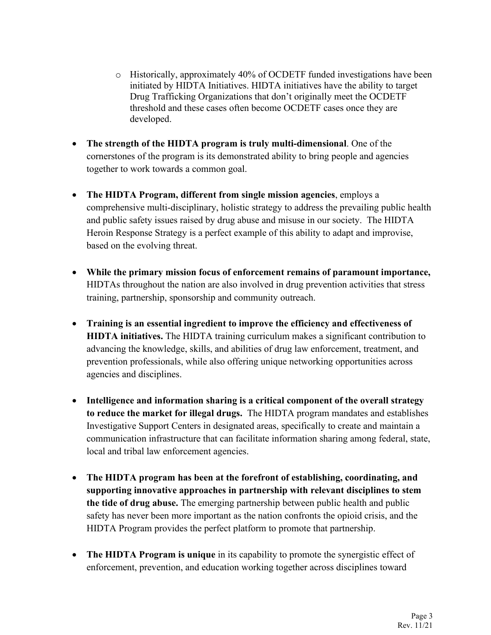- o Historically, approximately 40% of OCDETF funded investigations have been initiated by HIDTA Initiatives. HIDTA initiatives have the ability to target Drug Trafficking Organizations that don't originally meet the OCDETF threshold and these cases often become OCDETF cases once they are developed.
- **The strength of the HIDTA program is truly multi-dimensional**. One of the cornerstones of the program is its demonstrated ability to bring people and agencies together to work towards a common goal.
- **The HIDTA Program, different from single mission agencies**, employs a comprehensive multi-disciplinary, holistic strategy to address the prevailing public health and public safety issues raised by drug abuse and misuse in our society. The HIDTA Heroin Response Strategy is a perfect example of this ability to adapt and improvise, based on the evolving threat.
- **While the primary mission focus of enforcement remains of paramount importance,** HIDTAs throughout the nation are also involved in drug prevention activities that stress training, partnership, sponsorship and community outreach.
- **Training is an essential ingredient to improve the efficiency and effectiveness of HIDTA initiatives.** The HIDTA training curriculum makes a significant contribution to advancing the knowledge, skills, and abilities of drug law enforcement, treatment, and prevention professionals, while also offering unique networking opportunities across agencies and disciplines.
- **Intelligence and information sharing is a critical component of the overall strategy to reduce the market for illegal drugs.** The HIDTA program mandates and establishes Investigative Support Centers in designated areas, specifically to create and maintain a communication infrastructure that can facilitate information sharing among federal, state, local and tribal law enforcement agencies.
- **The HIDTA program has been at the forefront of establishing, coordinating, and supporting innovative approaches in partnership with relevant disciplines to stem the tide of drug abuse.** The emerging partnership between public health and public safety has never been more important as the nation confronts the opioid crisis, and the HIDTA Program provides the perfect platform to promote that partnership.
- **The HIDTA Program is unique** in its capability to promote the synergistic effect of enforcement, prevention, and education working together across disciplines toward